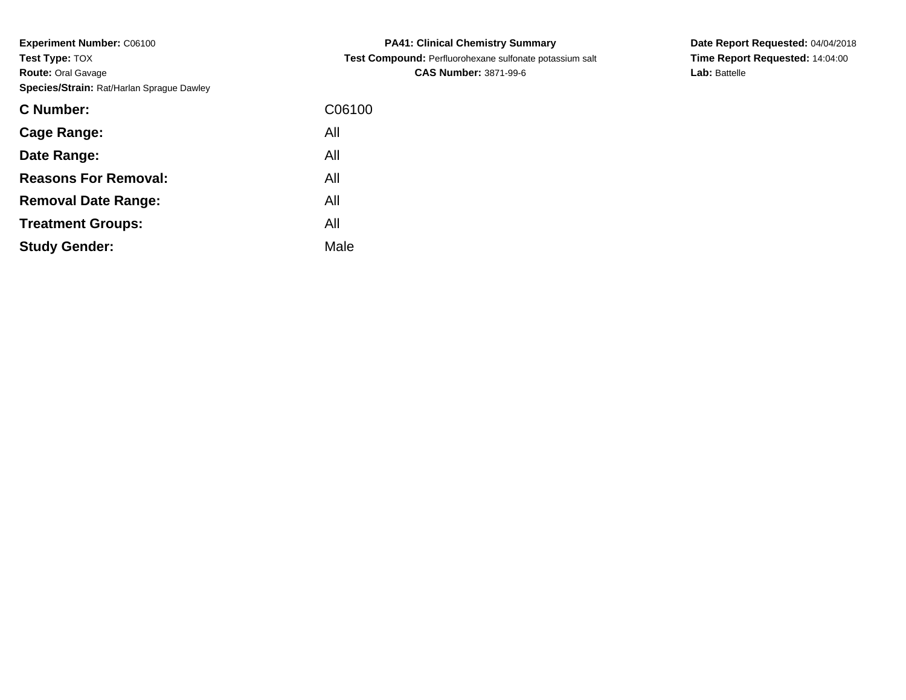| C Number:                   | C06100 |
|-----------------------------|--------|
| Cage Range:                 | All    |
| Date Range:                 | All    |
| <b>Reasons For Removal:</b> | All    |
| <b>Removal Date Range:</b>  | All    |
| <b>Treatment Groups:</b>    | All    |
| <b>Study Gender:</b>        | Male   |

**PA41: Clinical Chemistry Summary Test Compound:** Perfluorohexane sulfonate potassium salt**CAS Number:** 3871-99-6

**Date Report Requested:** 04/04/2018**Time Report Requested:** 14:04:00**Lab:** Battelle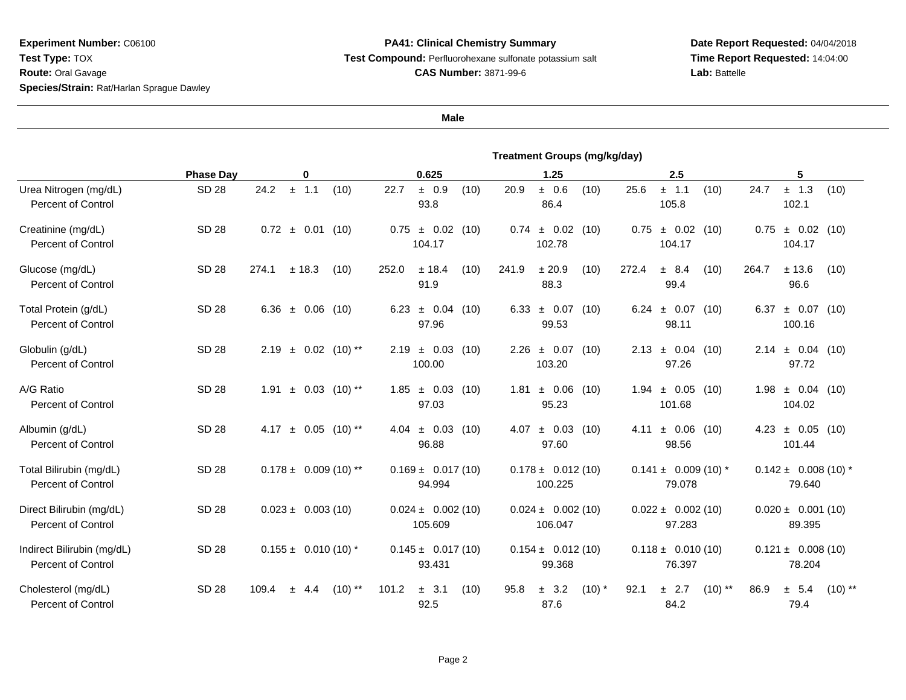## **PA41: Clinical Chemistry Summary Test Compound:** Perfluorohexane sulfonate potassium salt**CAS Number:** 3871-99-6

**Date Report Requested:** 04/04/2018**Time Report Requested:** 14:04:00Lab: Battelle

|                                                      | <b>Treatment Groups (mg/kg/day)</b> |                                    |                                      |                                   |                                    |                                    |  |
|------------------------------------------------------|-------------------------------------|------------------------------------|--------------------------------------|-----------------------------------|------------------------------------|------------------------------------|--|
|                                                      | <b>Phase Day</b>                    | 0                                  | 0.625                                | 1.25                              | 2.5                                | 5                                  |  |
| Urea Nitrogen (mg/dL)<br><b>Percent of Control</b>   | <b>SD 28</b>                        | 24.2<br>± 1.1<br>(10)              | 22.7<br>± 0.9<br>(10)<br>93.8        | ± 0.6<br>20.9<br>(10)<br>86.4     | 25.6<br>± 1.1<br>(10)<br>105.8     | $±$ 1.3<br>24.7<br>(10)<br>102.1   |  |
| Creatinine (mg/dL)<br><b>Percent of Control</b>      | SD 28                               | $0.72 \pm 0.01$ (10)               | 0.75<br>± 0.02<br>(10)<br>104.17     | ± 0.02<br>0.74<br>(10)<br>102.78  | ± 0.02<br>0.75<br>(10)<br>104.17   | $\pm$ 0.02 (10)<br>0.75<br>104.17  |  |
| Glucose (mg/dL)<br><b>Percent of Control</b>         | SD 28                               | 274.1<br>± 18.3<br>(10)            | $±$ 18.4<br>(10)<br>252.0<br>91.9    | 241.9<br>± 20.9<br>(10)<br>88.3   | 272.4<br>± 8.4<br>(10)<br>99.4     | 264.7<br>± 13.6<br>(10)<br>96.6    |  |
| Total Protein (g/dL)<br><b>Percent of Control</b>    | <b>SD 28</b>                        | 6.36 $\pm$ 0.06 (10)               | $\pm$ 0.04 (10)<br>6.23<br>97.96     | $6.33 \pm 0.07$<br>(10)<br>99.53  | $6.24 \pm 0.07$<br>(10)<br>98.11   | $\pm$ 0.07 (10)<br>6.37<br>100.16  |  |
| Globulin (g/dL)<br><b>Percent of Control</b>         | <b>SD 28</b>                        | $\pm$ 0.02 (10)**<br>2.19          | $\pm$ 0.03<br>2.19<br>(10)<br>100.00 | ± 0.07<br>2.26<br>(10)<br>103.20  | $2.13 \pm 0.04$ (10)<br>97.26      | $\pm$ 0.04 (10)<br>2.14<br>97.72   |  |
| A/G Ratio<br><b>Percent of Control</b>               | <b>SD 28</b>                        | $\pm$ 0.03 (10) **<br>1.91         | $1.85 \pm 0.03$ (10)<br>97.03        | ± 0.06<br>1.81<br>(10)<br>95.23   | $1.94 \pm 0.05$ (10)<br>101.68     | $1.98 \pm 0.04$ (10)<br>104.02     |  |
| Albumin (g/dL)<br>Percent of Control                 | SD 28                               | $\pm$ 0.05 (10) **<br>4.17         | $\pm$ 0.03 (10)<br>4.04<br>96.88     | ± 0.03<br>4.07<br>(10)<br>97.60   | 4.11 $\pm$ 0.06 (10)<br>98.56      | $\pm$ 0.05 (10)<br>4.23<br>101.44  |  |
| Total Bilirubin (mg/dL)<br><b>Percent of Control</b> | <b>SD 28</b>                        | $0.178 \pm 0.009$ (10) **          | $0.169 \pm 0.017(10)$<br>94.994      | $0.178 \pm 0.012(10)$<br>100.225  | $0.141 \pm 0.009$ (10) *<br>79.078 | $0.142 \pm 0.008(10)^*$<br>79.640  |  |
| Direct Bilirubin (mg/dL)<br>Percent of Control       | <b>SD 28</b>                        | $0.023 \pm 0.003(10)$              | $0.024 \pm 0.002(10)$<br>105.609     | $0.024 \pm 0.002(10)$<br>106.047  | $0.022 \pm 0.002$ (10)<br>97.283   | $0.020 \pm 0.001(10)$<br>89.395    |  |
| Indirect Bilirubin (mg/dL)<br>Percent of Control     | <b>SD 28</b>                        | $0.155 \pm 0.010(10)^*$            | $0.145 \pm 0.017(10)$<br>93.431      | $0.154 \pm 0.012(10)$<br>99.368   | $0.118 \pm 0.010(10)$<br>76.397    | $0.121 \pm 0.008(10)$<br>78.204    |  |
| Cholesterol (mg/dL)<br><b>Percent of Control</b>     | <b>SD 28</b>                        | $(10)$ **<br>109.4<br>4.4<br>$\pm$ | 101.2<br>$\pm$ 3.1<br>(10)<br>92.5   | ± 3.2<br>$(10)$ *<br>95.8<br>87.6 | $(10)$ **<br>92.1<br>± 2.7<br>84.2 | ± 5.4<br>$(10)$ **<br>86.9<br>79.4 |  |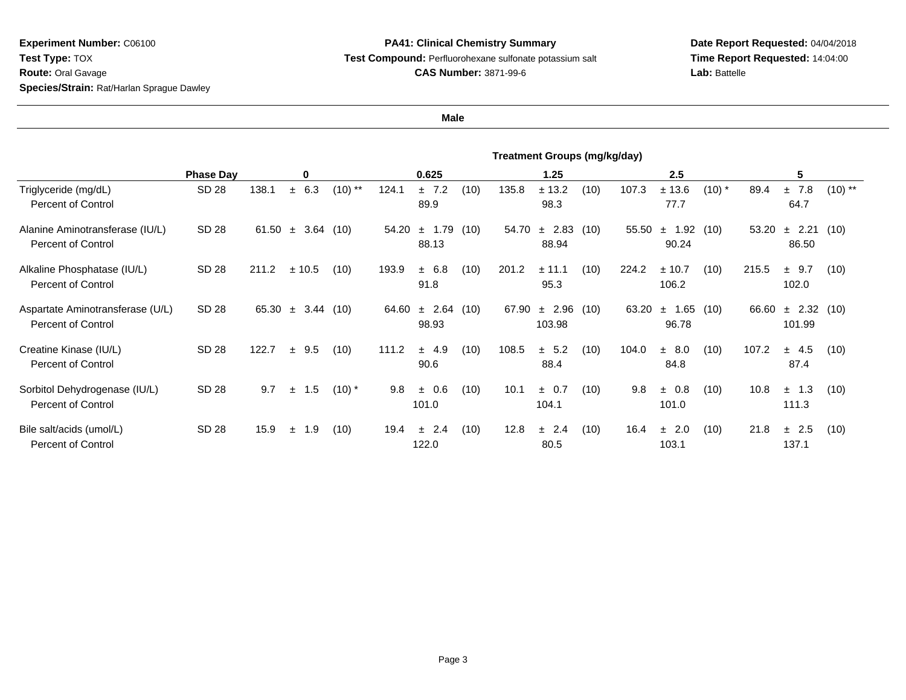## **PA41: Clinical Chemistry Summary Test Compound:** Perfluorohexane sulfonate potassium salt**CAS Number:** 3871-99-6

**Date Report Requested:** 04/04/2018**Time Report Requested:** 14:04:00**Lab:** Battelle

|                                                               | <b>Treatment Groups (mg/kg/day)</b> |       |                   |           |       |                       |      |       |                    |      |       |                        |          |       |                           |           |
|---------------------------------------------------------------|-------------------------------------|-------|-------------------|-----------|-------|-----------------------|------|-------|--------------------|------|-------|------------------------|----------|-------|---------------------------|-----------|
|                                                               | <b>Phase Day</b>                    |       | 0                 |           |       | 0.625                 |      |       | 1.25               |      |       | 2.5                    |          |       | 5                         |           |
| Triglyceride (mg/dL)<br>Percent of Control                    | <b>SD 28</b>                        | 138.1 | 6.3<br>$\pm$      | $(10)$ ** | 124.1 | ± 7.2<br>89.9         | (10) | 135.8 | ± 13.2<br>98.3     | (10) | 107.3 | ± 13.6<br>77.7         | $(10)$ * | 89.4  | ±7.8<br>64.7              | $(10)$ ** |
| Alanine Aminotransferase (IU/L)<br><b>Percent of Control</b>  | SD 28                               | 61.50 | 3.64(10)<br>$\pm$ |           | 54.20 | $±$ 1.79<br>88.13     | (10) | 54.70 | ± 2.83<br>88.94    | (10) | 55.50 | 1.92<br>$\pm$<br>90.24 | (10)     | 53.20 | 2.21<br>土<br>86.50        | (10)      |
| Alkaline Phosphatase (IU/L)<br><b>Percent of Control</b>      | SD 28                               | 211.2 | ± 10.5            | (10)      | 193.9 | ± 6.8<br>91.8         | (10) | 201.2 | ± 11.1<br>95.3     | (10) | 224.2 | ± 10.7<br>106.2        | (10)     | 215.5 | ± 9.7<br>102.0            | (10)      |
| Aspartate Aminotransferase (U/L)<br><b>Percent of Control</b> | SD 28                               | 65.30 | 3.44(10)<br>$\pm$ |           | 64.60 | $\pm$ 2.64<br>98.93   | (10) | 67.90 | ± 2.96<br>103.98   | (10) | 63.20 | 1.65<br>$\pm$<br>96.78 | (10)     | 66.60 | $\pm$ 2.32 (10)<br>101.99 |           |
| Creatine Kinase (IU/L)<br>Percent of Control                  | SD 28                               | 122.7 | $±$ 9.5           | (10)      | 111.2 | ± 4.9<br>90.6         | (10) | 108.5 | ± 5.2<br>88.4      | (10) | 104.0 | ± 8.0<br>84.8          | (10)     | 107.2 | ± 4.5<br>87.4             | (10)      |
| Sorbitol Dehydrogenase (IU/L)<br><b>Percent of Control</b>    | SD 28                               | 9.7   | 1.5<br>$\pm$      | $(10)^*$  | 9.8   | 0.6<br>$\pm$<br>101.0 | (10) | 10.1  | $\pm$ 0.7<br>104.1 | (10) | 9.8   | ± 0.8<br>101.0         | (10)     | 10.8  | $\pm$ 1.3<br>111.3        | (10)      |
| Bile salt/acids (umol/L)<br><b>Percent of Control</b>         | SD 28                               | 15.9  | 1.9<br>土          | (10)      | 19.4  | 2.4<br>$\pm$<br>122.0 | (10) | 12.8  | ± 2.4<br>80.5      | (10) | 16.4  | ± 2.0<br>103.1         | (10)     | 21.8  | ± 2.5<br>137.1            | (10)      |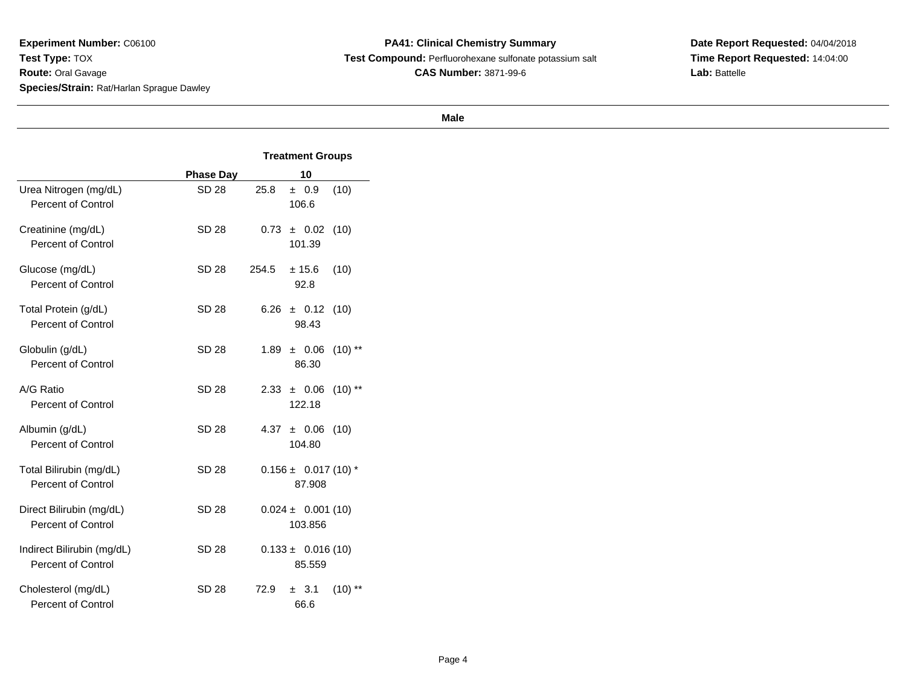**PA41: Clinical Chemistry Summary Test Compound:** Perfluorohexane sulfonate potassium salt**CAS Number:** 3871-99-6

**Date Report Requested:** 04/04/2018**Time Report Requested:** 14:04:00**Lab:** Battelle

|                                                    |                  | <b>Treatment Groups</b>               |  |  |  |
|----------------------------------------------------|------------------|---------------------------------------|--|--|--|
|                                                    | <b>Phase Day</b> | 10                                    |  |  |  |
| Urea Nitrogen (mg/dL)<br><b>Percent of Control</b> | <b>SD 28</b>     | 25.8<br>(10)<br>± 0.9<br>106.6        |  |  |  |
| Creatinine (mg/dL)<br>Percent of Control           | SD 28            | 0.73<br>(10)<br>± 0.02<br>101.39      |  |  |  |
| Glucose (mg/dL)<br><b>Percent of Control</b>       | <b>SD 28</b>     | 254.5<br>± 15.6<br>(10)<br>92.8       |  |  |  |
| Total Protein (g/dL)<br>Percent of Control         | SD 28            | 6.26<br>(10)<br>$±$ 0.12<br>98.43     |  |  |  |
| Globulin (g/dL)<br><b>Percent of Control</b>       | SD 28            | 1.89<br>± 0.06<br>$(10)$ **<br>86.30  |  |  |  |
| A/G Ratio<br>Percent of Control                    | SD 28            | 2.33<br>$(10)$ **<br>± 0.06<br>122.18 |  |  |  |
| Albumin (g/dL)<br>Percent of Control               | SD 28            | 4.37<br>± 0.06<br>(10)<br>104.80      |  |  |  |
| Total Bilirubin (mg/dL)<br>Percent of Control      | SD 28            | $0.156 \pm 0.017(10)^*$<br>87.908     |  |  |  |
| Direct Bilirubin (mg/dL)<br>Percent of Control     | <b>SD 28</b>     | $0.024 \pm 0.001(10)$<br>103.856      |  |  |  |
| Indirect Bilirubin (mg/dL)<br>Percent of Control   | SD 28            | $0.133 \pm 0.016(10)$<br>85.559       |  |  |  |
| Cholesterol (mg/dL)<br><b>Percent of Control</b>   | <b>SD 28</b>     | 72.9<br>± 3.1<br>$(10)$ **<br>66.6    |  |  |  |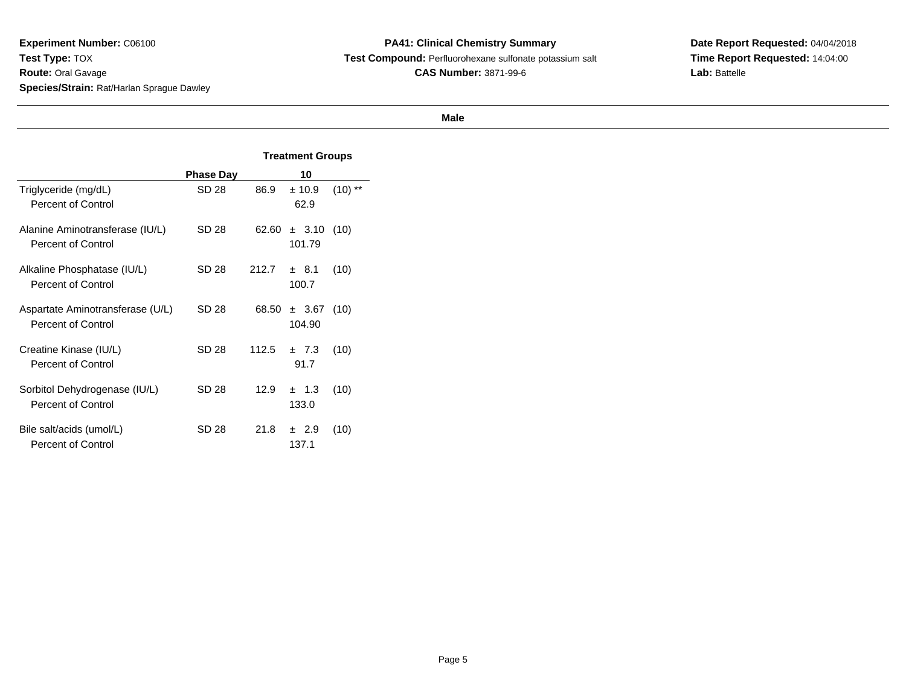**PA41: Clinical Chemistry Summary Test Compound:** Perfluorohexane sulfonate potassium salt**CAS Number:** 3871-99-6

**Date Report Requested:** 04/04/2018**Time Report Requested:** 14:04:00**Lab:** Battelle

|                                                               |                  | <b>Treatment Groups</b> |                    |           |  |
|---------------------------------------------------------------|------------------|-------------------------|--------------------|-----------|--|
|                                                               | <b>Phase Day</b> |                         |                    |           |  |
| Triglyceride (mg/dL)<br><b>Percent of Control</b>             | SD 28            | 86.9                    | ± 10.9<br>62.9     | $(10)$ ** |  |
| Alanine Aminotransferase (IU/L)<br><b>Percent of Control</b>  | SD 28            | 62.60                   | ± 3.10<br>101.79   | (10)      |  |
| Alkaline Phosphatase (IU/L)<br><b>Percent of Control</b>      | SD 28            | 212.7                   | ± 8.1<br>100.7     | (10)      |  |
| Aspartate Aminotransferase (U/L)<br><b>Percent of Control</b> | SD 28            | 68.50                   | ± 3.67<br>104.90   | (10)      |  |
| Creatine Kinase (IU/L)<br>Percent of Control                  | SD 28            | 112.5                   | ±7.3<br>91.7       | (10)      |  |
| Sorbitol Dehydrogenase (IU/L)<br><b>Percent of Control</b>    | SD 28            | 12.9                    | $\pm$ 1.3<br>133.0 | (10)      |  |
| Bile salt/acids (umol/L)<br><b>Percent of Control</b>         | SD 28            | 21.8                    | ± 2.9<br>137.1     | (10)      |  |